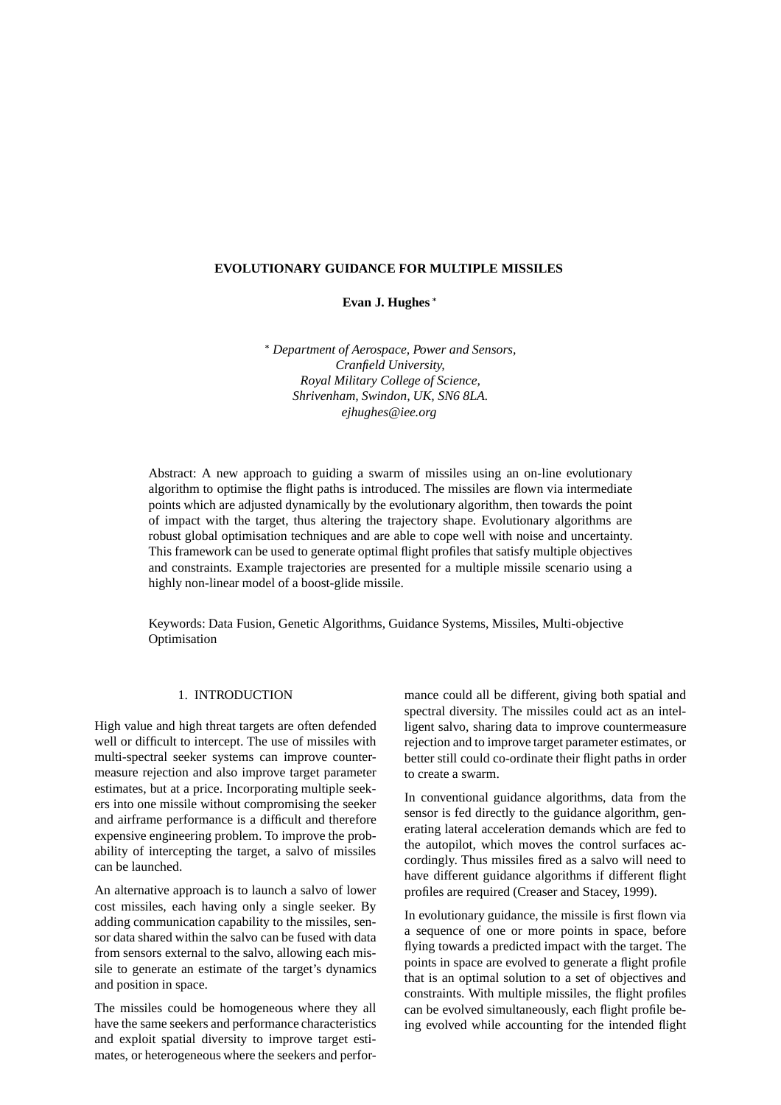## **EVOLUTIONARY GUIDANCE FOR MULTIPLE MISSILES**

**Evan J. Hughes**

 *Department of Aerospace, Power and Sensors, Cranfield University, Royal Military College of Science, Shrivenham, Swindon, UK, SN6 8LA. ejhughes@iee.org*

Abstract: A new approach to guiding a swarm of missiles using an on-line evolutionary algorithm to optimise the flight paths is introduced. The missiles are flown via intermediate points which are adjusted dynamically by the evolutionary algorithm, then towards the point of impact with the target, thus altering the trajectory shape. Evolutionary algorithms are robust global optimisation techniques and are able to cope well with noise and uncertainty. This framework can be used to generate optimal flight profiles that satisfy multiple objectives and constraints. Example trajectories are presented for a multiple missile scenario using a highly non-linear model of a boost-glide missile.

Keywords: Data Fusion, Genetic Algorithms, Guidance Systems, Missiles, Multi-objective Optimisation

# 1. INTRODUCTION

High value and high threat targets are often defended well or difficult to intercept. The use of missiles with multi-spectral seeker systems can improve countermeasure rejection and also improve target parameter estimates, but at a price. Incorporating multiple seekers into one missile without compromising the seeker and airframe performance is a difficult and therefore expensive engineering problem. To improve the probability of intercepting the target, a salvo of missiles can be launched.

An alternative approach is to launch a salvo of lower cost missiles, each having only a single seeker. By adding communication capability to the missiles, sensor data shared within the salvo can be fused with data from sensors external to the salvo, allowing each missile to generate an estimate of the target's dynamics and position in space.

The missiles could be homogeneous where they all have the same seekers and performance characteristics and exploit spatial diversity to improve target estimates, or heterogeneous where the seekers and performance could all be different, giving both spatial and spectral diversity. The missiles could act as an intelligent salvo, sharing data to improve countermeasure rejection and to improve target parameter estimates, or better still could co-ordinate their flight paths in order to create a swarm.

In conventional guidance algorithms, data from the sensor is fed directly to the guidance algorithm, generating lateral acceleration demands which are fed to the autopilot, which moves the control surfaces accordingly. Thus missiles fired as a salvo will need to have different guidance algorithms if different flight profiles are required (Creaser and Stacey, 1999).

In evolutionary guidance, the missile is first flown via a sequence of one or more points in space, before flying towards a predicted impact with the target. The points in space are evolved to generate a flight profile that is an optimal solution to a set of objectives and constraints. With multiple missiles, the flight profiles can be evolved simultaneously, each flight profile being evolved while accounting for the intended flight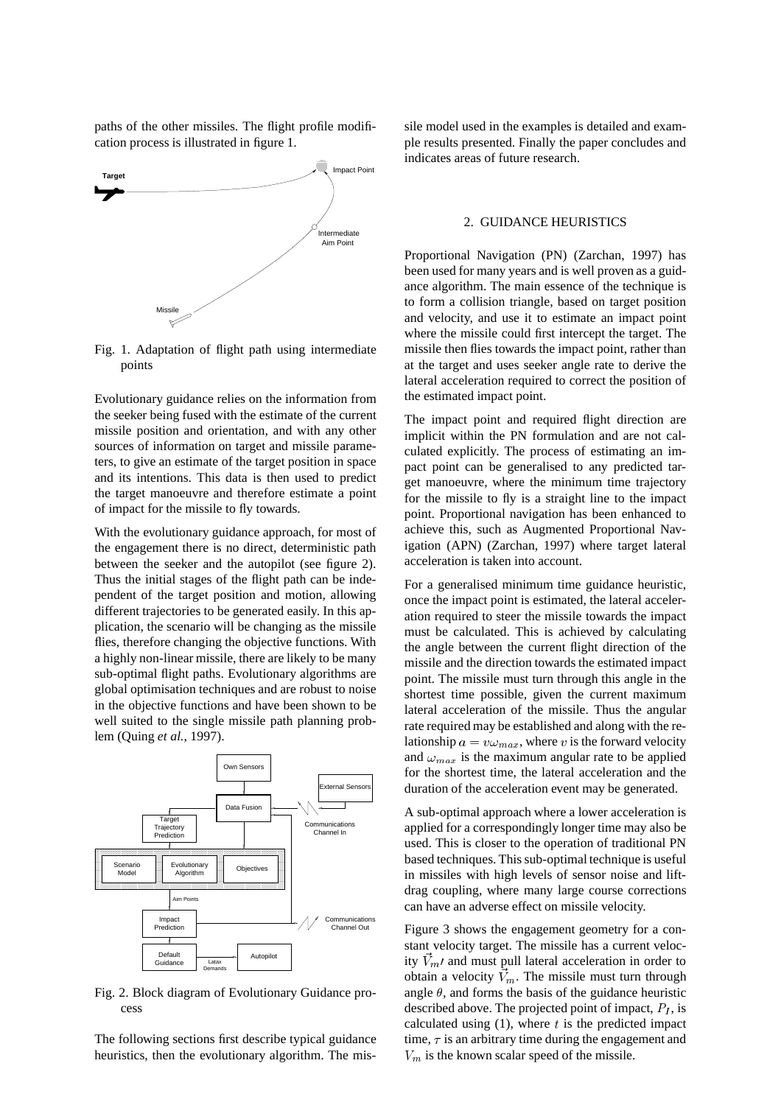paths of the other missiles. The flight profile modification process is illustrated in figure 1.



Fig. 1. Adaptation of flight path using intermediate points

Evolutionary guidance relies on the information from the seeker being fused with the estimate of the current missile position and orientation, and with any other sources of information on target and missile parameters, to give an estimate of the target position in space and its intentions. This data is then used to predict the target manoeuvre and therefore estimate a point of impact for the missile to fly towards.

With the evolutionary guidance approach, for most of the engagement there is no direct, deterministic path between the seeker and the autopilot (see figure 2). Thus the initial stages of the flight path can be independent of the target position and motion, allowing different trajectories to be generated easily. In this application, the scenario will be changing as the missile flies, therefore changing the objective functions. With a highly non-linear missile, there are likely to be many sub-optimal flight paths. Evolutionary algorithms are global optimisation techniques and are robust to noise in the objective functions and have been shown to be well suited to the single missile path planning problem (Quing *et al.*, 1997).



Fig. 2. Block diagram of Evolutionary Guidance process

The following sections first describe typical guidance heuristics, then the evolutionary algorithm. The missile model used in the examples is detailed and example results presented. Finally the paper concludes and indicates areas of future research.

### 2. GUIDANCE HEURISTICS

Proportional Navigation (PN) (Zarchan, 1997) has been used for many years and is well proven as a guidance algorithm. The main essence of the technique is to form a collision triangle, based on target position and velocity, and use it to estimate an impact point where the missile could first intercept the target. The missile then flies towards the impact point, rather than at the target and uses seeker angle rate to derive the lateral acceleration required to correct the position of the estimated impact point.

The impact point and required flight direction are implicit within the PN formulation and are not calculated explicitly. The process of estimating an impact point can be generalised to any predicted target manoeuvre, where the minimum time trajectory for the missile to fly is a straight line to the impact point. Proportional navigation has been enhanced to achieve this, such as Augmented Proportional Navigation (APN) (Zarchan, 1997) where target lateral acceleration is taken into account.

For a generalised minimum time guidance heuristic, once the impact point is estimated, the lateral acceleration required to steer the missile towards the impact must be calculated. This is achieved by calculating the angle between the current flight direction of the missile and the direction towards the estimated impact point. The missile must turn through this angle in the shortest time possible, given the current maximum lateral acceleration of the missile. Thus the angular rate required may be established and along with the relationship  $a = v \omega_{max}$ , where v is the forward velocity and  $\omega_{max}$  is the maximum angular rate to be applied for the shortest time, the lateral acceleration and the duration of the acceleration event may be generated.

A sub-optimal approach where a lower acceleration is applied for a correspondingly longer time may also be used. This is closer to the operation of traditional PN based techniques. This sub-optimal technique is useful in missiles with high levels of sensor noise and liftdrag coupling, where many large course corrections can have an adverse effect on missile velocity.

Figure 3 shows the engagement geometry for a constant velocity target. The missile has a current velocity  $\vec{V}_m$  and must pull lateral acceleration in order to obtain a velocity  $\vec{V}_m$ . The missile must turn through angle  $\theta$ , and forms the basis of the guidance heuristic described above. The projected point of impact,  $P<sub>I</sub>$ , is calculated using  $(1)$ , where t is the predicted impact time,  $\tau$  is an arbitrary time during the engagement and  $V_m$  is the known scalar speed of the missile.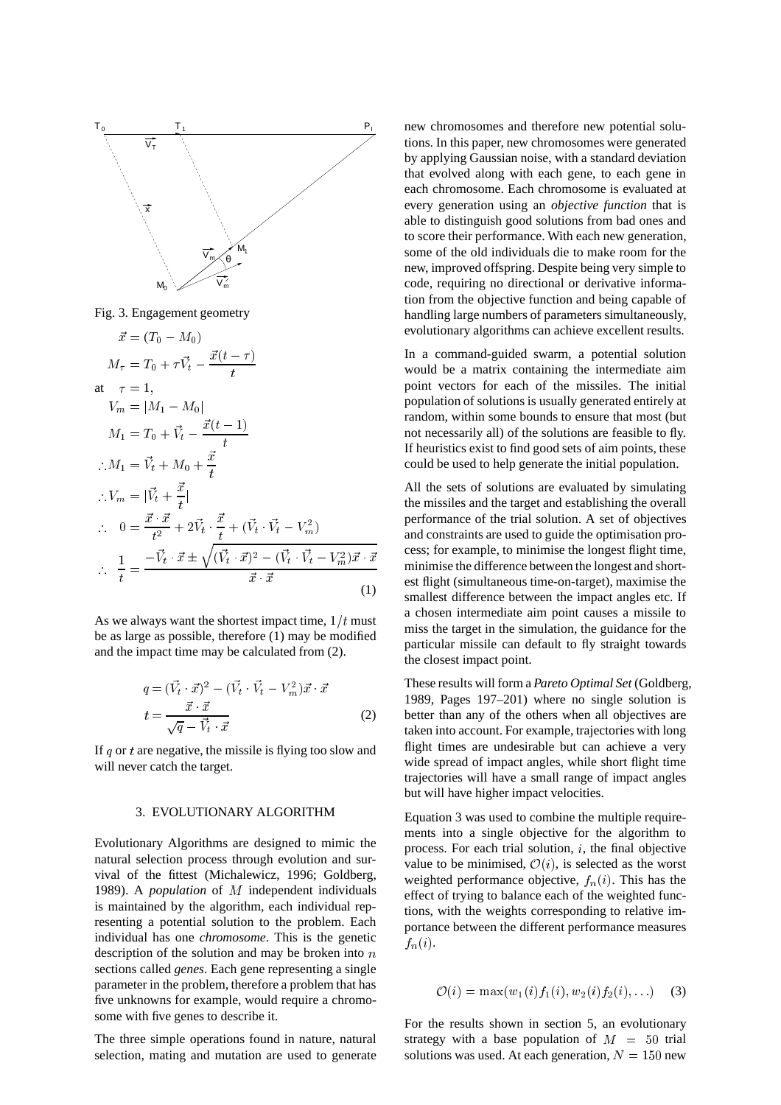

Fig. 3. Engagement geometry

$$
\vec{x} = (T_0 - M_0)
$$
\n
$$
M_{\tau} = T_0 + \tau \vec{V}_t - \frac{\vec{x}(t - \tau)}{t}
$$
\nat\n
$$
\tau = 1,
$$
\n
$$
V_m = |M_1 - M_0|
$$
\n
$$
M_1 = T_0 + \vec{V}_t - \frac{\vec{x}(t - 1)}{t}
$$
\n
$$
\therefore M_1 = \vec{V}_t + M_0 + \frac{\vec{x}}{t}
$$
\n
$$
\therefore V_m = |\vec{V}_t + \frac{\vec{x}}{t}|
$$
\n
$$
\therefore 0 = \frac{\vec{x} \cdot \vec{x}}{t^2} + 2\vec{V}_t \cdot \frac{\vec{x}}{t} + (\vec{V}_t \cdot \vec{V}_t - V_m^2)
$$
\n
$$
\therefore \frac{1}{t} = \frac{-\vec{V}_t \cdot \vec{x} \pm \sqrt{(\vec{V}_t \cdot \vec{x})^2 - (\vec{V}_t \cdot \vec{V}_t - V_m^2)\vec{x} \cdot \vec{x}}}{\vec{x} \cdot \vec{x}}
$$
\n(1)

As we always want the shortest impact time,  $1/t$  must be as large as possible, therefore (1) may be modified and the impact time may be calculated from (2).

$$
q = (\vec{V}_t \cdot \vec{x})^2 - (\vec{V}_t \cdot \vec{V}_t - V_m^2)\vec{x} \cdot \vec{x}
$$
  

$$
t = \frac{\vec{x} \cdot \vec{x}}{\sqrt{q} - \vec{V}_t \cdot \vec{x}}
$$
 (2)

If  $q$  or  $t$  are negative, the missile is flying too slow and will never catch the target.

## 3. EVOLUTIONARY ALGORITHM

Evolutionary Algorithms are designed to mimic the natural selection process through evolution and survival of the fittest (Michalewicz, 1996; Goldberg, 1989). A *population* of <sup>M</sup> independent individuals is maintained by the algorithm, each individual representing a potential solution to the problem. Each individual has one *chromosome*. This is the genetic description of the solution and may be broken into  $n$ sections called *genes*. Each gene representing a single parameter in the problem, therefore a problem that has five unknowns for example, would require a chromosome with five genes to describe it.

The three simple operations found in nature, natural selection, mating and mutation are used to generate new chromosomes and therefore new potential solutions. In this paper, new chromosomes were generated by applying Gaussian noise, with a standard deviation that evolved along with each gene, to each gene in each chromosome. Each chromosome is evaluated at every generation using an *objective function* that is able to distinguish good solutions from bad ones and to score their performance. With each new generation, some of the old individuals die to make room for the new, improved offspring. Despite being very simple to code, requiring no directional or derivative information from the objective function and being capable of handling large numbers of parameters simultaneously, evolutionary algorithms can achieve excellent results.

In a command-guided swarm, a potential solution would be a matrix containing the intermediate aim point vectors for each of the missiles. The initial population of solutions is usually generated entirely at random, within some bounds to ensure that most (but not necessarily all) of the solutions are feasible to fly. If heuristics exist to find good sets of aim points, these could be used to help generate the initial population.

All the sets of solutions are evaluated by simulating the missiles and the target and establishing the overall performance of the trial solution. A set of objectives and constraints are used to guide the optimisation process; for example, to minimise the longest flight time, minimise the difference between the longest and shortest flight (simultaneous time-on-target), maximise the smallest difference between the impact angles etc. If a chosen intermediate aim point causes a missile to miss the target in the simulation, the guidance for the particular missile can default to fly straight towards the closest impact point.

These results will form a *Pareto Optimal Set* (Goldberg, 1989, Pages 197–201) where no single solution is better than any of the others when all objectives are taken into account. For example, trajectories with long flight times are undesirable but can achieve a very wide spread of impact angles, while short flight time trajectories will have a small range of impact angles but will have higher impact velocities.

Equation 3 was used to combine the multiple requirements into a single objective for the algorithm to process. For each trial solution, <sup>i</sup>, the final objective value to be minimised,  $\mathcal{O}(i)$ , is selected as the worst weighted performance objective,  $f_n(i)$ . This has the effect of trying to balance each of the weighted functions, with the weights corresponding to relative importance between the different performance measures  $f_n(i)$ .

$$
\mathcal{O}(i) = \max(w_1(i) f_1(i), w_2(i) f_2(i), \dots)
$$
 (3)

For the results shown in section 5, an evolutionary strategy with a base population of  $M = 50$  trial solutions was used. At each generation,  $N = 150$  new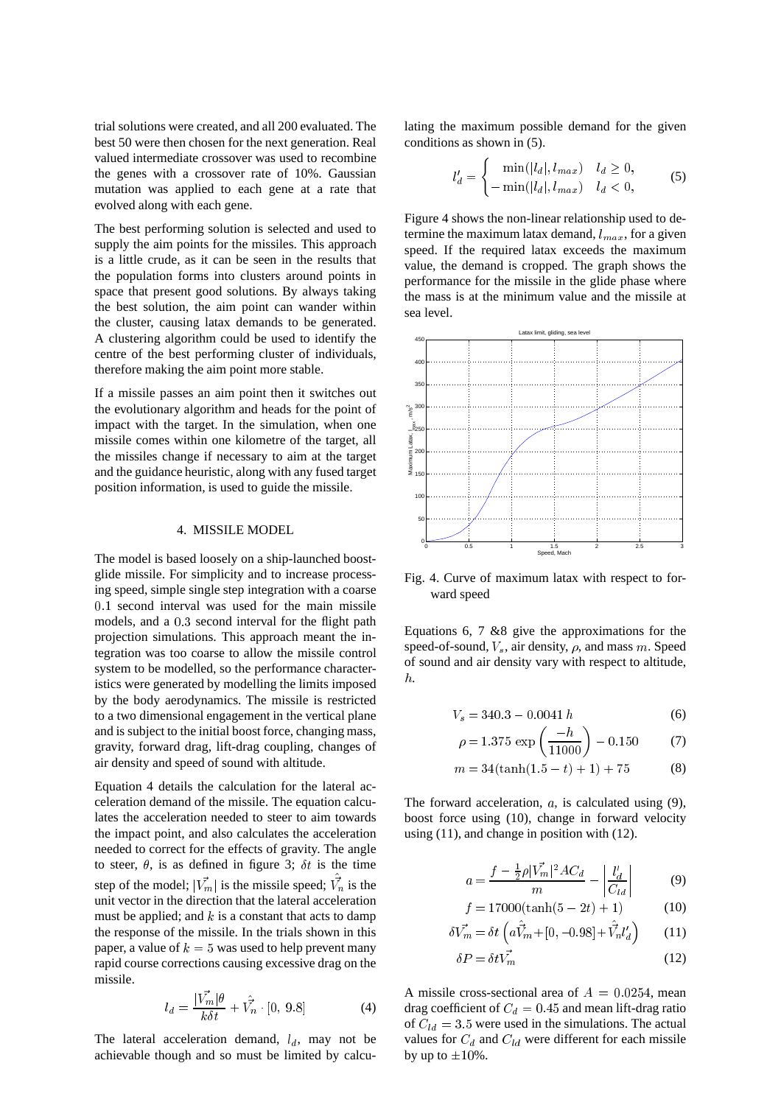trial solutions were created, and all 200 evaluated. The best 50 were then chosen for the next generation. Real valued intermediate crossover was used to recombine the genes with a crossover rate of 10%. Gaussian mutation was applied to each gene at a rate that evolved along with each gene.

The best performing solution is selected and used to supply the aim points for the missiles. This approach is a little crude, as it can be seen in the results that the population forms into clusters around points in space that present good solutions. By always taking the best solution, the aim point can wander within the cluster, causing latax demands to be generated. A clustering algorithm could be used to identify the centre of the best performing cluster of individuals, therefore making the aim point more stable.

If a missile passes an aim point then it switches out the evolutionary algorithm and heads for the point of impact with the target. In the simulation, when one missile comes within one kilometre of the target, all the missiles change if necessary to aim at the target and the guidance heuristic, along with any fused target position information, is used to guide the missile.

#### 4. MISSILE MODEL

The model is based loosely on a ship-launched boostglide missile. For simplicity and to increase processing speed, simple single step integration with a coarse 0:1 second interval was used for the main missile models, and a 0:3 second interval for the flight path projection simulations. This approach meant the integration was too coarse to allow the missile control system to be modelled, so the performance characteristics were generated by modelling the limits imposed by the body aerodynamics. The missile is restricted to a two dimensional engagement in the vertical plane and is subject to the initial boost force, changing mass, gravity, forward drag, lift-drag coupling, changes of air density and speed of sound with altitude.

Equation 4 details the calculation for the lateral acceleration demand of the missile. The equation calculates the acceleration needed to steer to aim towards the impact point, and also calculates the acceleration needed to correct for the effects of gravity. The angle to steer,  $\theta$ , is as defined in figure 3;  $\delta t$  is the time step of the model;  $|\vec{V_m}|$  is the missile speed;  $\vec{V_n}$  is the unit vector in the direction that the lateral acceleration must be applied; and  $k$  is a constant that acts to damp the response of the missile. In the trials shown in this paper, a value of  $k = 5$  was used to help prevent many rapid course corrections causing excessive drag on the missile.

$$
l_d = \frac{|\vec{V_m}|\theta}{k\delta t} + \hat{V_n} \cdot [0, 9.8]
$$
 (4)

The lateral acceleration demand,  $l_d$ , may not be achievable though and so must be limited by calculating the maximum possible demand for the given conditions as shown in (5).

 $\overline{\phantom{a}}$ 

$$
l'_d = \begin{cases} \min(|l_d|, l_{max}) & l_d \ge 0, \\ -\min(|l_d|, l_{max}) & l_d < 0, \end{cases}
$$
 (5)

Figure 4 shows the non-linear relationship used to determine the maximum latax demand,  $l_{max}$ , for a given speed. If the required latax exceeds the maximum value, the demand is cropped. The graph shows the performance for the missile in the glide phase where the mass is at the minimum value and the missile at sea level.



Fig. 4. Curve of maximum latax with respect to forward speed

Equations 6, 7 &8 give the approximations for the speed-of-sound,  $V_s$ , air density,  $\rho$ , and mass m. Speed of sound and air density vary with respect to altitude, h.

$$
V_s = 340.3 - 0.0041 h \tag{6}
$$

$$
\rho = 1.375 \exp\left(\frac{-h}{11000}\right) - 0.150 \tag{7}
$$

$$
m = 34(\tanh(1.5 - t) + 1) + 75
$$
 (8)

The forward acceleration,  $a$ , is calculated using  $(9)$ , boost force using (10), change in forward velocity using (11), and change in position with (12).

$$
a = \frac{f - \frac{1}{2}\rho |\vec{V_m}|^2 A C_d}{m} - \left| \frac{l_d'}{C_{ld}} \right| \tag{9}
$$

$$
f = 17000(\tanh(5 - 2t) + 1)
$$
 (10)

$$
\delta \vec{V_m} = \delta t \left( a \hat{\vec{V}}_m + [0, -0.98] + \hat{\vec{V}}_n l_d' \right) \tag{11}
$$

$$
\delta P = \delta t \vec{V_m} \tag{12}
$$

A missile cross-sectional area of  $A = 0.0254$ , mean drag coefficient of  $C_d = 0.45$  and mean lift-drag ratio of  $C_{ld} = 3.5$  were used in the simulations. The actual values for  $C_d$  and  $C_{ld}$  were different for each missile by up to  $\pm 10\%$ .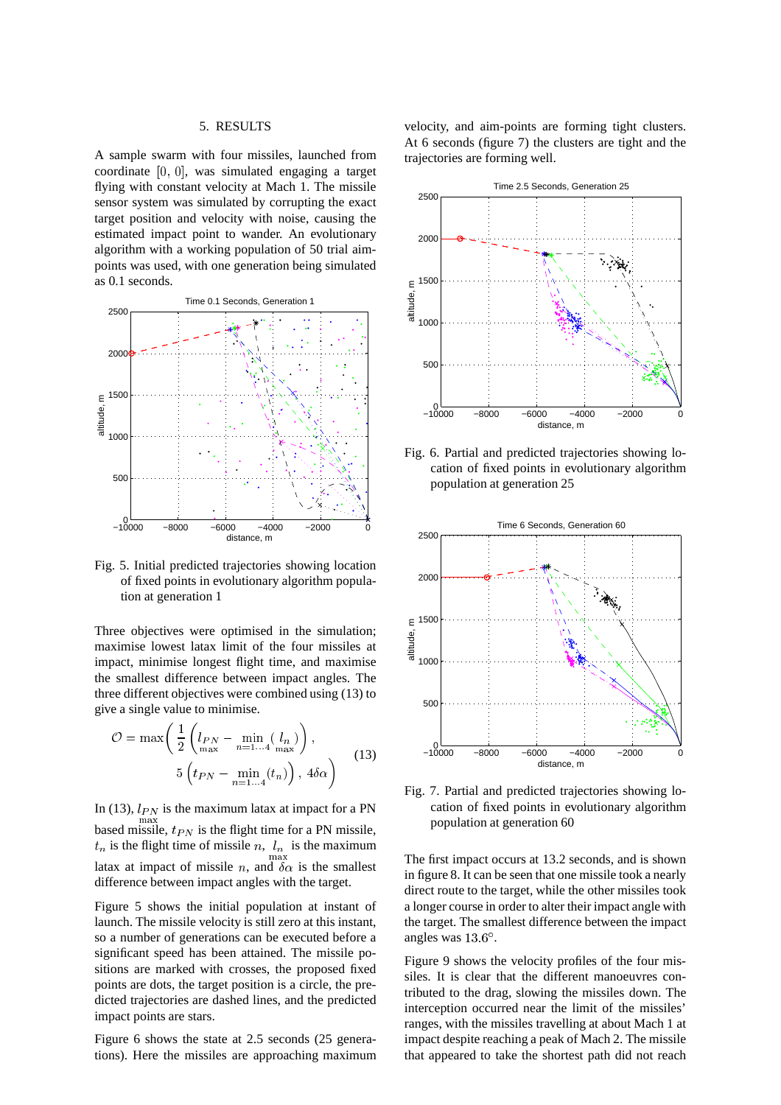## 5. RESULTS

A sample swarm with four missiles, launched from coordinate [0; 0], was simulated engaging a target flying with constant velocity at Mach 1. The missile sensor system was simulated by corrupting the exact target position and velocity with noise, causing the estimated impact point to wander. An evolutionary algorithm with a working population of 50 trial aimpoints was used, with one generation being simulated as 0.1 seconds.



Fig. 5. Initial predicted trajectories showing location of fixed points in evolutionary algorithm population at generation 1

Three objectives were optimised in the simulation; maximise lowest latax limit of the four missiles at impact, minimise longest flight time, and maximise the smallest difference between impact angles. The three different objectives were combined using (13) to give a single value to minimise.

$$
\mathcal{O} = \max\left(\frac{1}{2}\left(l_{PN} - \min_{n=1...4} \left(l_n\right)\right),\right.\\
\left.5\left(t_{PN} - \min_{n=1...4} \left(t_n\right)\right),\,4\delta\alpha\right)
$$
\n(13)

In (13),  $l_{PN}$  is the maximum latax at impact for a PN based missile,  $t_{PN}$  is the flight time for a PN missile,  $t_n$  is the flight time of missile n,  $l_n$  is the maximum max latax at impact of missile n, and  $\delta \alpha$  is the smallest difference between impact angles with the target.

Figure 5 shows the initial population at instant of launch. The missile velocity is still zero at this instant, so a number of generations can be executed before a significant speed has been attained. The missile positions are marked with crosses, the proposed fixed points are dots, the target position is a circle, the predicted trajectories are dashed lines, and the predicted impact points are stars.

Figure 6 shows the state at 2.5 seconds (25 generations). Here the missiles are approaching maximum velocity, and aim-points are forming tight clusters. At 6 seconds (figure 7) the clusters are tight and the trajectories are forming well.



Fig. 6. Partial and predicted trajectories showing location of fixed points in evolutionary algorithm population at generation 25



Fig. 7. Partial and predicted trajectories showing location of fixed points in evolutionary algorithm population at generation 60

The first impact occurs at 13.2 seconds, and is shown in figure 8. It can be seen that one missile took a nearly direct route to the target, while the other missiles took a longer course in order to alter their impact angle with the target. The smallest difference between the impact angles was  $13.6^\circ$ .

Figure 9 shows the velocity profiles of the four missiles. It is clear that the different manoeuvres contributed to the drag, slowing the missiles down. The interception occurred near the limit of the missiles' ranges, with the missiles travelling at about Mach 1 at impact despite reaching a peak of Mach 2. The missile that appeared to take the shortest path did not reach